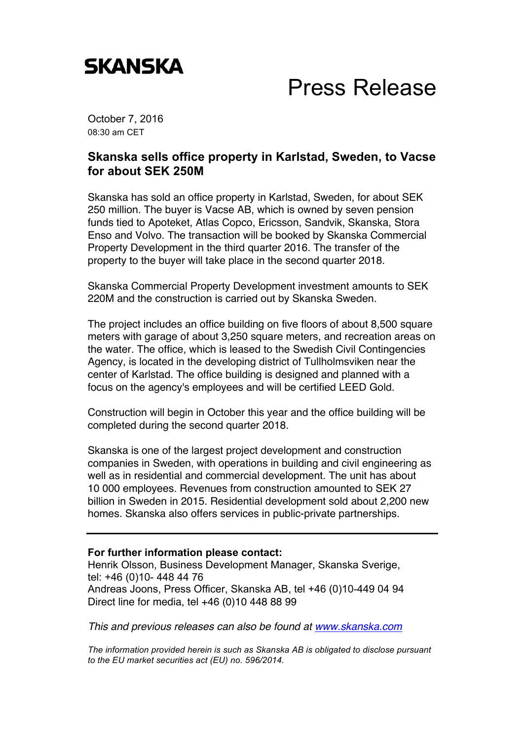

## Press Release

October 7, 2016 08:30 am CET

## **Skanska sells office property in Karlstad, Sweden, to Vacse for about SEK 250M**

Skanska has sold an office property in Karlstad, Sweden, for about SEK 250 million. The buyer is Vacse AB, which is owned by seven pension funds tied to Apoteket, Atlas Copco, Ericsson, Sandvik, Skanska, Stora Enso and Volvo. The transaction will be booked by Skanska Commercial Property Development in the third quarter 2016. The transfer of the property to the buyer will take place in the second quarter 2018.

Skanska Commercial Property Development investment amounts to SEK 220M and the construction is carried out by Skanska Sweden.

The project includes an office building on five floors of about 8,500 square meters with garage of about 3,250 square meters, and recreation areas on the water. The office, which is leased to the Swedish Civil Contingencies Agency, is located in the developing district of Tullholmsviken near the center of Karlstad. The office building is designed and planned with a focus on the agency's employees and will be certified LEED Gold.

Construction will begin in October this year and the office building will be completed during the second quarter 2018.

Skanska is one of the largest project development and construction companies in Sweden, with operations in building and civil engineering as well as in residential and commercial development. The unit has about 10 000 employees. Revenues from construction amounted to SEK 27 billion in Sweden in 2015. Residential development sold about 2,200 new homes. Skanska also offers services in public-private partnerships.

## **For further information please contact:**

Henrik Olsson, Business Development Manager, Skanska Sverige, tel: +46 (0)10- 448 44 76 Andreas Joons, Press Officer, Skanska AB, tel +46 (0)10-449 04 94 Direct line for media, tel +46 (0)10 448 88 99

*This and previous releases can also be found at www.skanska.com*

*The information provided herein is such as Skanska AB is obligated to disclose pursuant to the EU market securities act (EU) no. 596/2014.*